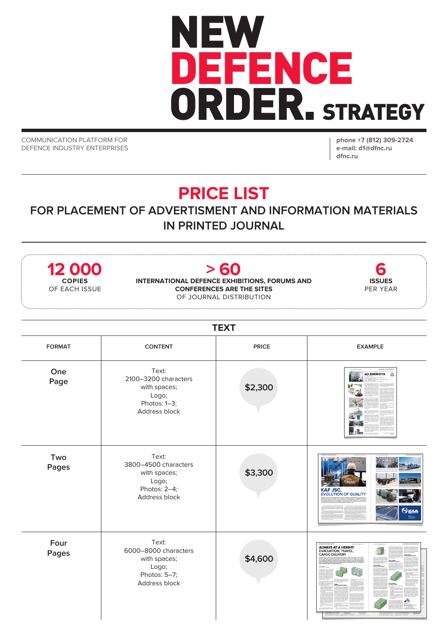## NEW DEFENCE ORDER. STRATEGY

COMMUNICATION PLATFORM FOR DEFENCE INDUSTRY ENTERPRISES **phone +7 (812) 309-2724 e-mail: d1@dfnc.ru dfnc.ru**

## **PRICE LIST**

## **FOR PLACEMENT OF ADVERTISMENT AND INFORMATION MATERIALS IN PRINTED JOURNAL**

| 12 000<br><b>COPIES</b><br>OF EACH ISSUE |                                                                                         | > 60<br>INTERNATIONAL DEFENCE EXHIBITIONS, FORUMS AND<br><b>CONFERENCES ARE THE SITES</b><br>OF JOURNAL DISTRIBUTION | <b>ISSUES</b><br>PER YEAR                                           |  |  |
|------------------------------------------|-----------------------------------------------------------------------------------------|----------------------------------------------------------------------------------------------------------------------|---------------------------------------------------------------------|--|--|
| <b>TEXT</b>                              |                                                                                         |                                                                                                                      |                                                                     |  |  |
| <b>FORMAT</b>                            | <b>CONTENT</b>                                                                          | <b>PRICE</b>                                                                                                         | <b>EXAMPLE</b>                                                      |  |  |
| One<br>Page                              | Text:<br>2100-3200 characters<br>with spaces;<br>Logo;<br>Photos: 1-3;<br>Address block | \$2,300                                                                                                              | <b>AO ENERGIYA</b><br>824<br><u> Tradi</u><br>幂.                    |  |  |
| Two<br>Pages                             | Text:<br>3800-4500 characters<br>with spaces;<br>Logo;<br>Photos: 2-4;<br>Address block | \$3,300                                                                                                              | <b>KAF JSC.</b><br>EVOLUTION OF QUALITY<br><b>Окла</b>              |  |  |
| Four<br>Pages                            | Text:<br>6000-8000 characters<br>with spaces;<br>Logo;<br>Photos: 5-7;<br>Address block | \$4,600                                                                                                              | <b>ALWAYS AT A HEIGHT:</b><br>EVACUATION, TRAVEL,<br>CARGO DELIVERY |  |  |